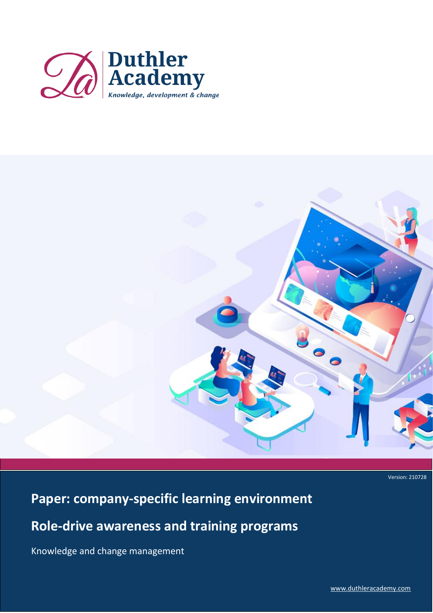



Version: 210728

# **Paper: company-specific learning environment**

**Role-drive awareness and training programs**

Knowledge and change management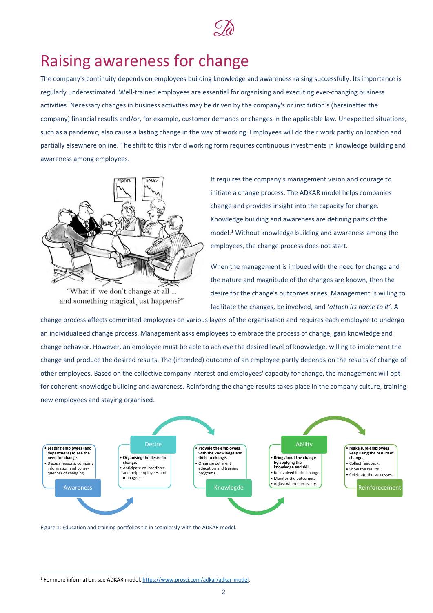

### Raising awareness for change

The company's continuity depends on employees building knowledge and awareness raising successfully. Its importance is regularly underestimated. Well-trained employees are essential for organising and executing ever-changing business activities. Necessary changes in business activities may be driven by the company's or institution's (hereinafter the company) financial results and/or, for example, customer demands or changes in the applicable law. Unexpected situations, such as a pandemic, also cause a lasting change in the way of working. Employees will do their work partly on location and partially elsewhere online. The shift to this hybrid working form requires continuous investments in knowledge building and awareness among employees.



"What if we don't change at all ... and something magical just happens?"

It requires the company's management vision and courage to initiate a change process. The ADKAR model helps companies change and provides insight into the capacity for change. Knowledge building and awareness are defining parts of the model.<sup>1</sup> Without knowledge building and awareness among the employees, the change process does not start.

When the management is imbued with the need for change and the nature and magnitude of the changes are known, then the desire for the change's outcomes arises. Management is willing to facilitate the changes, be involved, and '*attach its name to it'.* A

change process affects committed employees on various layers of the organisation and requires each employee to undergo an individualised change process. Management asks employees to embrace the process of change, gain knowledge and change behavior. However, an employee must be able to achieve the desired level of knowledge, willing to implement the change and produce the desired results. The (intended) outcome of an employee partly depends on the results of change of other employees. Based on the collective company interest and employees' capacity for change, the management will opt for coherent knowledge building and awareness. Reinforcing the change results takes place in the company culture, training new employees and staying organised.



Figure 1: Education and training portfolios tie in seamlessly with the ADKAR model.

<sup>&</sup>lt;sup>1</sup> For more information, see ADKAR model[, https://www.prosci.com/adkar/adkar-model.](https://www.prosci.com/adkar/adkar-model)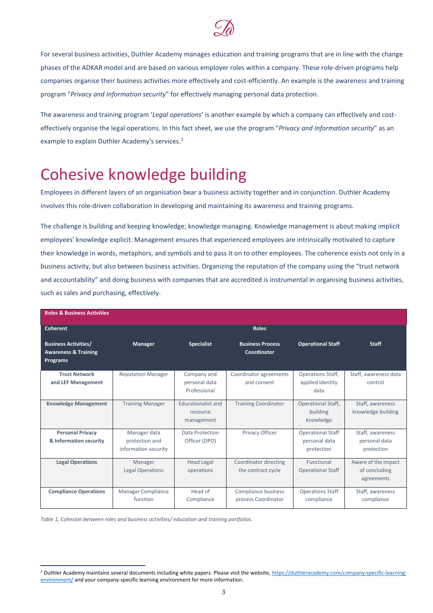

For several business activities, Duthler Academy manages education and training programs that are in line with the change phases of the ADKAR model and are based on various employer roles within a company. These role-driven programs help companies organise their business activities more effectively and cost-efficiently. An example is the awareness and training program "*Privacy and Information security*" for effectively managing personal data protection.

The awareness and training program '*Legal operations*' is another example by which a company can effectively and costeffectively organise the legal operations. In this fact sheet, we use the program "*Privacy and Information security*" as an example to explain Duthler Academy's services.<sup>2</sup>

# Cohesive knowledge building

Employees in different layers of an organisation bear a business activity together and in conjunction. Duthler Academy involves this role-driven collaboration in developing and maintaining its awareness and training programs.

The challenge is building and keeping knowledge; knowledge managing. Knowledge management is about making implicit employees' knowledge explicit. Management ensures that experienced employees are intrinsically motivated to capture their knowledge in words, metaphors, and symbols and to pass it on to other employees. The coherence exists not only in a business activity, but also between business activities. Organizing the reputation of the company using the "trust network and accountability" and doing business with companies that are accredited is instrumental in organising business activities, such as sales and purchasing, effectively.

| <b>Roles &amp; Business Activities</b>                                     |                                                        |                                                     |                                             |                                                         |                                                    |
|----------------------------------------------------------------------------|--------------------------------------------------------|-----------------------------------------------------|---------------------------------------------|---------------------------------------------------------|----------------------------------------------------|
| Coherent                                                                   |                                                        |                                                     | <b>Roles</b>                                |                                                         |                                                    |
| <b>Business Activities/</b><br><b>Awareness &amp; Training</b><br>Programs | Manager                                                | <b>Specialist</b>                                   | <b>Business Process</b><br>Coordinator      | <b>Operational Staff</b>                                | <b>Staff</b>                                       |
| <b>Trust Network</b><br>and LEF Management                                 | <b>Reputation Manager</b>                              | Company and<br>personal data<br>Professional        | Coordinator agreements<br>and consent       | Operations Staff,<br>applied identity<br>data           | Staff, awareness data<br>control                   |
| <b>Knowledge Management</b>                                                | <b>Training Manager</b>                                | <b>Educationalist and</b><br>resource<br>management | <b>Training Coordinator</b>                 | <b>Operational Staff,</b><br>building<br>knowledge      | Staff, awareness<br>knowledge building             |
| <b>Personal Privacy</b><br>& Information security                          | Manager data<br>protection and<br>information security | Data Protection<br>Officer (DPO)                    | Privacy Officer                             | <b>Operational Staff</b><br>personal data<br>protection | Staff, awareness<br>personal data<br>protection    |
| <b>Legal Operations</b>                                                    | Manager<br><b>Legal Operations</b>                     | <b>Head Legal</b><br>operations                     | Coordinator directing<br>the contract cycle | Functional<br><b>Operational Staff</b>                  | Aware of the impact<br>of concluding<br>agreements |
| <b>Compliance Operations</b>                                               | <b>Manager Compliance</b><br>function                  | Head of<br>Compliance                               | Compliance business<br>process Coordinator  | <b>Operations Staff</b><br>compliance                   | Staff, awareness<br>compliance                     |

*Table 1, Cohesion between roles and business activities/ education and training portfolios.*

<sup>&</sup>lt;sup>2</sup> Duthler Academy maintains several documents including white papers. Please visit the website[, https://duthleracademy.com/company-specific-learning](https://duthleracademy.com/company-specific-learning-environment/)[environment/](https://duthleracademy.com/company-specific-learning-environment/) and your company-specific learning environment for more information.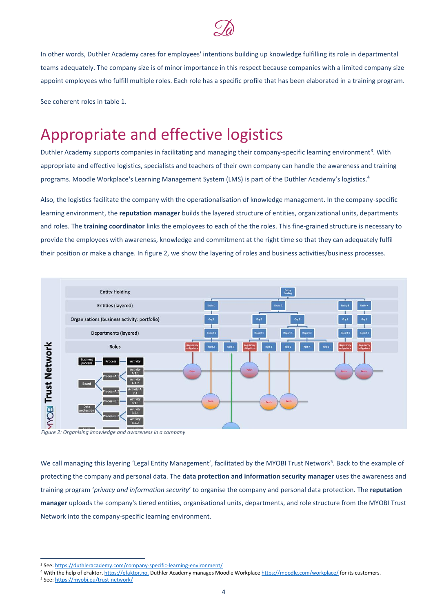

In other words, Duthler Academy cares for employees' intentions building up knowledge fulfilling its role in departmental teams adequately. The company size is of minor importance in this respect because companies with a limited company size appoint employees who fulfill multiple roles. Each role has a specific profile that has been elaborated in a training program.

See coherent roles in table 1.

### Appropriate and effective logistics

Duthler Academy supports companies in facilitating and managing their company-specific learning environment<sup>3</sup>. With appropriate and effective logistics, specialists and teachers of their own company can handle the awareness and training programs. Moodle Workplace's Learning Management System (LMS) is part of the Duthler Academy's logistics.<sup>4</sup>

Also, the logistics facilitate the company with the operationalisation of knowledge management. In the company-specific learning environment, the **reputation manager** builds the layered structure of entities, organizational units, departments and roles. The **training coordinator** links the employees to each of the the roles. This fine-grained structure is necessary to provide the employees with awareness, knowledge and commitment at the right time so that they can adequately fulfil their position or make a change. In figure 2, we show the layering of roles and business activities/business processes.



*Figure 2: Organising knowledge and awareness in a company*

We call managing this layering 'Legal Entity Management', facilitated by the MYOBI Trust Network<sup>5</sup>. Back to the example of protecting the company and personal data. The **data protection and information security manager** uses the awareness and training program '*privacy and information security*' to organise the company and personal data protection. The **reputation manager** uploads the company's tiered entities, organisational units, departments, and role structure from the MYOBI Trust Network into the company-specific learning environment.

<sup>3</sup> See: <https://duthleracademy.com/company-specific-learning-environment/>

<sup>4</sup> With the help of eFaktor[, https://efaktor.no,](https://efaktor.no/) Duthler Academy manages Moodle Workplace<https://moodle.com/workplace/> for its customers.

<sup>5</sup> See:<https://myobi.eu/trust-network/>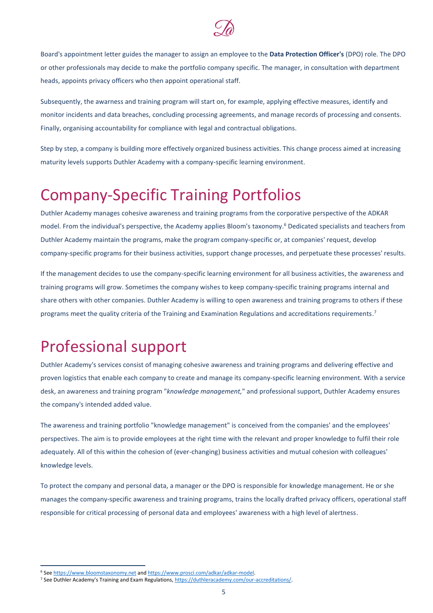

Board's appointment letter guides the manager to assign an employee to the **Data Protection Officer's** (DPO) role. The DPO or other professionals may decide to make the portfolio company specific. The manager, in consultation with department heads, appoints privacy officers who then appoint operational staff.

Subsequently, the awarness and training program will start on, for example, applying effective measures, identify and monitor incidents and data breaches, concluding processing agreements, and manage records of processing and consents. Finally, organising accountability for compliance with legal and contractual obligations.

Step by step, a company is building more effectively organized business activities. This change process aimed at increasing maturity levels supports Duthler Academy with a company-specific learning environment.

# Company-Specific Training Portfolios

Duthler Academy manages cohesive awareness and training programs from the corporative perspective of the ADKAR model. From the individual's perspective, the Academy applies Bloom's taxonomy. <sup>6</sup> Dedicated specialists and teachers from Duthler Academy maintain the programs, make the program company-specific or, at companies' request, develop company-specific programs for their business activities, support change processes, and perpetuate these processes' results.

If the management decides to use the company-specific learning environment for all business activities, the awareness and training programs will grow. Sometimes the company wishes to keep company-specific training programs internal and share others with other companies. Duthler Academy is willing to open awareness and training programs to others if these programs meet the quality criteria of the Training and Examination Regulations and accreditations requirements.<sup>7</sup>

# Professional support

Duthler Academy's services consist of managing cohesive awareness and training programs and delivering effective and proven logistics that enable each company to create and manage its company-specific learning environment. With a service desk, an awareness and training program "*knowledge management,*" and professional support, Duthler Academy ensures the company's intended added value.

The awareness and training portfolio "knowledge management" is conceived from the companies' and the employees' perspectives. The aim is to provide employees at the right time with the relevant and proper knowledge to fulfil their role adequately. All of this within the cohesion of (ever-changing) business activities and mutual cohesion with colleagues' knowledge levels.

To protect the company and personal data, a manager or the DPO is responsible for knowledge management. He or she manages the company-specific awareness and training programs, trains the locally drafted privacy officers, operational staff responsible for critical processing of personal data and employees' awareness with a high level of alertness.

<sup>&</sup>lt;sup>6</sup> See [https://www.bloomstaxonomy.net](https://www.bloomstaxonomy.net/) and [https://www.prosci.com/adkar/adkar-model.](https://www.prosci.com/adkar/adkar-model)

<sup>7</sup> See Duthler Academy's Training and Exam Regulations[, https://duthleracademy.com/our-accreditations/.](https://duthleracademy.com/our-accreditations/)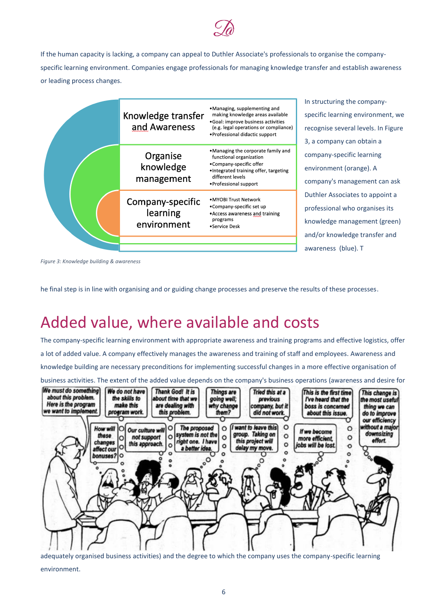

If the human capacity is lacking, a company can appeal to Duthler Associate's professionals to organise the companyspecific learning environment. Companies engage professionals for managing knowledge transfer and establish awareness or leading process changes.

| Knowledge transfer<br>and Awareness         | •Managing, supplementing and<br>making knowledge areas available<br>· Goal: improve business activities<br>(e.g. legal operations or compliance)<br>• Professional didactic support |
|---------------------------------------------|-------------------------------------------------------------------------------------------------------------------------------------------------------------------------------------|
| Organise<br>knowledge<br>management         | •Managing the corporate family and<br>functional organization<br>•Company-specific offer<br>. Integrated training offer, targeting<br>different levels<br>• Professional support    |
| Company-specific<br>learning<br>environment | • MYOBI Trust Network<br>•Company-specific set up<br>• Access awareness and training<br>programs<br>•Service Desk                                                                   |
|                                             |                                                                                                                                                                                     |

In structuring the companyspecific learning environment, we recognise several levels. In Figure 3, a company can obtain a company-specific learning environment (orange). A company's management can ask Duthler Associates to appoint a professional who organises its knowledge management (green) and/or knowledge transfer and awareness (blue). T

*Figure 3: Knowledge building & awareness*

he final step is in line with organising and or guiding change processes and preserve the results of these processes.

## Added value, where available and costs

The company-specific learning environment with appropriate awareness and training programs and effective logistics, offer a lot of added value. A company effectively manages the awareness and training of staff and employees. Awareness and knowledge building are necessary preconditions for implementing successful changes in a more effective organisation of business activities. The extent of the added value depends on the company's business operations (awareness and desire for



adequately organised business activities) and the degree to which the company uses the company-specific learning environment.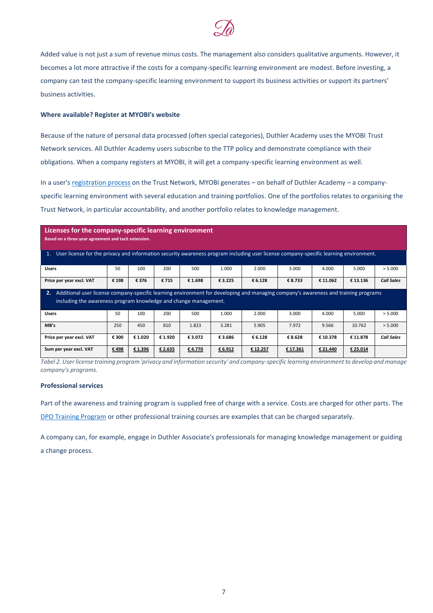

Added value is not just a sum of revenue minus costs. The management also considers qualitative arguments. However, it becomes a lot more attractive if the costs for a company-specific learning environment are modest. Before investing, a company can test the company-specific learning environment to support its business activities or support its partners' business activities.

#### **Where available? Register at MYOBI's website**

Because of the nature of personal data processed (often special categories), Duthler Academy uses the MYOBI Trust Network services. All Duthler Academy users subscribe to the TTP policy and demonstrate compliance with their obligations. When a company registers at MYOBI, it will get a company-specific learning environment as well.

In a user's [registration process](https://myobilive.myobi.network/TrustNetwork/pages/joiningrequest_external.html) on the Trust Network, MYOBI generates – on behalf of Duthler Academy – a companyspecific learning environment with several education and training portfolios. One of the portfolios relates to organising the Trust Network, in particular accountability, and another portfolio relates to knowledge management.

| Licenses for the company-specific learning environment<br>Based on a three-year agreement and tacit extension.<br>User license for the privacy and information security awareness program including user license company-specific learning environment.<br>1. |       |         |         |         |         |         |         |          |          |                   |
|---------------------------------------------------------------------------------------------------------------------------------------------------------------------------------------------------------------------------------------------------------------|-------|---------|---------|---------|---------|---------|---------|----------|----------|-------------------|
| <b>Users</b>                                                                                                                                                                                                                                                  | 50    | 100     | 200     | 500     | 1.000   | 2.000   | 3.000   | 4.000    | 5.000    | > 5.000           |
| Price per year excl. VAT                                                                                                                                                                                                                                      | € 198 | € 376   | € 715   | € 1.698 | € 3.225 | € 6.128 | € 8.733 | € 11.062 | € 13.136 | <b>Call Sales</b> |
| Additional user license company-specific learning environment for developing and managing company's awareness and training programs<br>2.<br>including the awareness program knowledge and change management.                                                 |       |         |         |         |         |         |         |          |          |                   |
|                                                                                                                                                                                                                                                               |       |         |         |         |         |         |         |          |          |                   |
| <b>Users</b>                                                                                                                                                                                                                                                  | 50    | 100     | 200     | 500     | 1.000   | 2.000   | 3.000   | 4.000    | 5.000    | > 5.000           |
| MB's                                                                                                                                                                                                                                                          | 250   | 450     | 810     | 1.823   | 3.281   | 5.905   | 7.972   | 9.566    | 10.762   | > 5.000           |
| Price per year excl. VAT                                                                                                                                                                                                                                      | € 300 | € 1.020 | € 1.920 | € 3.072 | € 3.686 | € 6.128 | € 8.628 | € 10.378 | € 11.878 | <b>Call Sales</b> |

*Tabel 2. User license training program 'privacy and information security' and company-specific learning environment to develop and manage company's programs.*

#### **Professional services**

Part of the awareness and training program is supplied free of charge with a service. Costs are charged for other parts. The [DPO Training Program](https://duthleracademy.com/educations/dpo-training-program/) or other professional training courses are examples that can be charged separately.

A company can, for example, engage in Duthler Associate's professionals for managing knowledge management or guiding a change process.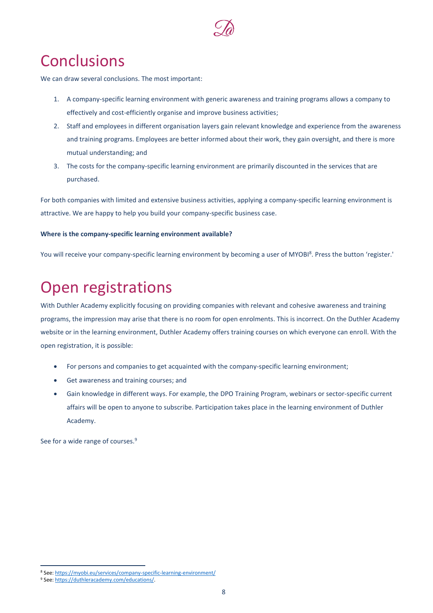

## **Conclusions**

We can draw several conclusions. The most important:

- 1. A company-specific learning environment with generic awareness and training programs allows a company to effectively and cost-efficiently organise and improve business activities;
- 2. Staff and employees in different organisation layers gain relevant knowledge and experience from the awareness and training programs. Employees are better informed about their work, they gain oversight, and there is more mutual understanding; and
- 3. The costs for the company-specific learning environment are primarily discounted in the services that are purchased.

For both companies with limited and extensive business activities, applying a company-specific learning environment is attractive. We are happy to help you build your company-specific business case.

#### **Where is the company-specific learning environment available?**

You will receive your company-specific learning environment by becoming a user of MYOBI<sup>8</sup>. Press the button 'register.'

# Open registrations

With Duthler Academy explicitly focusing on providing companies with relevant and cohesive awareness and training programs, the impression may arise that there is no room for open enrolments. This is incorrect. On the Duthler Academy website or in the learning environment, Duthler Academy offers training courses on which everyone can enroll. With the open registration, it is possible:

- For persons and companies to get acquainted with the company-specific learning environment;
- Get awareness and training courses; and
- Gain knowledge in different ways. For example, the DPO Training Program, webinars or sector-specific current affairs will be open to anyone to subscribe. Participation takes place in the learning environment of Duthler Academy.

See for a wide range of courses.<sup>9</sup>

<sup>&</sup>lt;sup>8</sup> See:<https://myobi.eu/services/company-specific-learning-environment/>

<sup>9</sup> See: [https://duthleracademy.com/educations/.](https://duthleracademy.com/educations/)